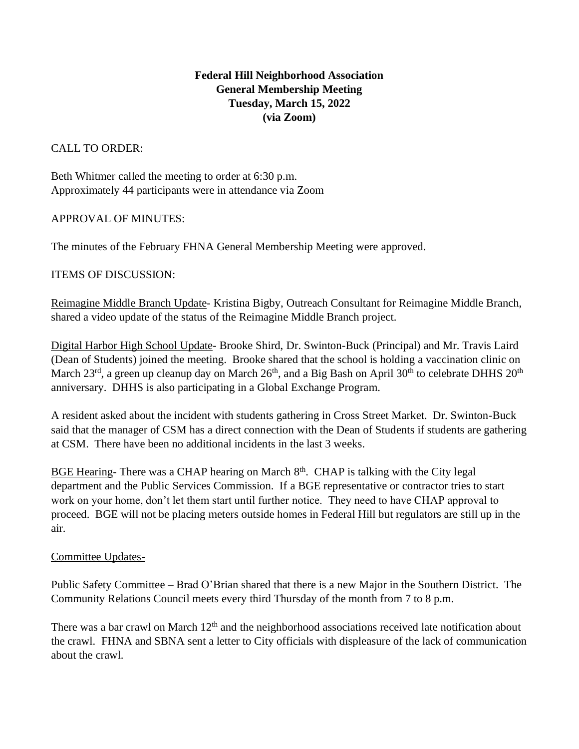# **Federal Hill Neighborhood Association General Membership Meeting Tuesday, March 15, 2022 (via Zoom)**

## CALL TO ORDER:

Beth Whitmer called the meeting to order at 6:30 p.m. Approximately 44 participants were in attendance via Zoom

## APPROVAL OF MINUTES:

The minutes of the February FHNA General Membership Meeting were approved.

### ITEMS OF DISCUSSION:

Reimagine Middle Branch Update- Kristina Bigby, Outreach Consultant for Reimagine Middle Branch, shared a video update of the status of the Reimagine Middle Branch project.

Digital Harbor High School Update- Brooke Shird, Dr. Swinton-Buck (Principal) and Mr. Travis Laird (Dean of Students) joined the meeting. Brooke shared that the school is holding a vaccination clinic on March  $23^{\text{rd}}$ , a green up cleanup day on March  $26^{\text{th}}$ , and a Big Bash on April  $30^{\text{th}}$  to celebrate DHHS  $20^{\text{th}}$ anniversary. DHHS is also participating in a Global Exchange Program.

A resident asked about the incident with students gathering in Cross Street Market. Dr. Swinton-Buck said that the manager of CSM has a direct connection with the Dean of Students if students are gathering at CSM. There have been no additional incidents in the last 3 weeks.

BGE Hearing- There was a CHAP hearing on March  $8<sup>th</sup>$ . CHAP is talking with the City legal department and the Public Services Commission. If a BGE representative or contractor tries to start work on your home, don't let them start until further notice. They need to have CHAP approval to proceed. BGE will not be placing meters outside homes in Federal Hill but regulators are still up in the air.

### Committee Updates-

Public Safety Committee – Brad O'Brian shared that there is a new Major in the Southern District. The Community Relations Council meets every third Thursday of the month from 7 to 8 p.m.

There was a bar crawl on March 12<sup>th</sup> and the neighborhood associations received late notification about the crawl. FHNA and SBNA sent a letter to City officials with displeasure of the lack of communication about the crawl.